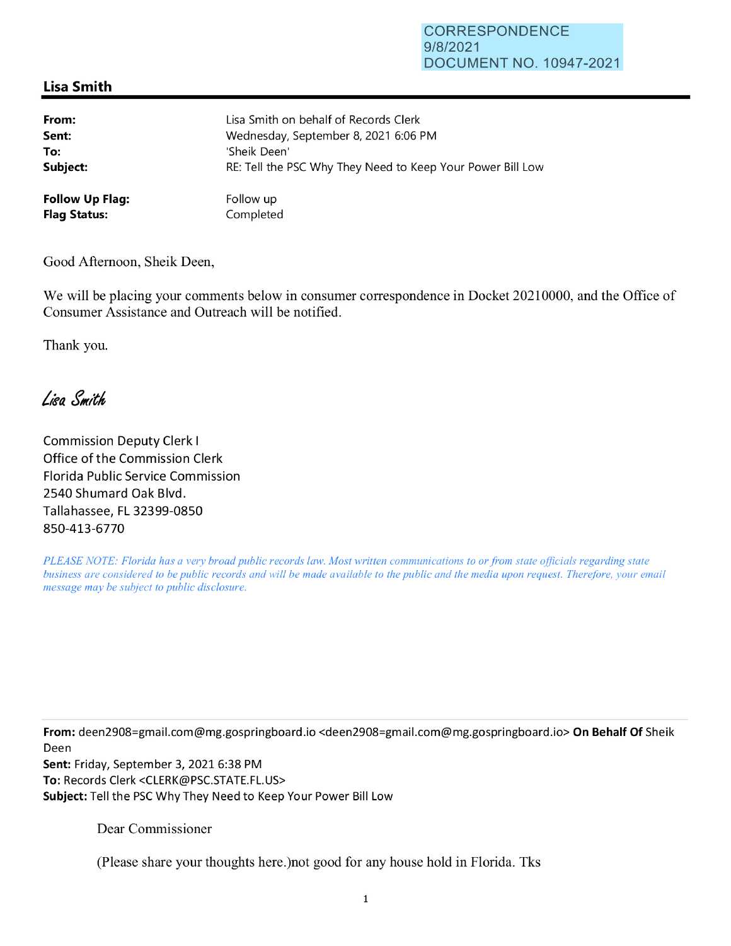## **Lisa Smith**

| From:                  | Lisa Smith on behalf of Records Clerk                      |
|------------------------|------------------------------------------------------------|
| Sent:                  | Wednesday, September 8, 2021 6:06 PM                       |
| To:                    | 'Sheik Deen'                                               |
| Subject:               | RE: Tell the PSC Why They Need to Keep Your Power Bill Low |
| <b>Follow Up Flag:</b> | Follow up                                                  |
| <b>Flag Status:</b>    | Completed                                                  |

Good Afternoon, Sheik Deen,

We will be placing your comments below in consumer correspondence in Docket 20210000, and the Office of Consumer Assistance and Outreach will be notified.

Thank you.

Lisa Smith

Commission Deputy Clerk I Office of the Commission Clerk Florida Public Service Commission 2540 Shumard Oak Blvd. Tallahassee, FL 32399-0850 850-413-6770

*PLEASE NOTE: Florida has a very broad public records law. Most written communications to or from state officials regarding state business are considered to be public records and will be made available to the public and the media upon request. Therefore, your email message may be subject to public disclosure.* 

**From:** deen2908=gmai1.com@mg.gospringboard .io <deen2908=gmai1.com@mg.gospringboard.io> **On Behalf Of** Sheik Deen

**Sent:** Friday, September 3, 2021 6:38 PM **To:** Records Clerk <CLERK@PSC.STATE.FL.US> **Subject:** Tell the PSC Why They Need to Keep Your Power Bill Low

Dear Commissioner

(Please share your thoughts here.)not good for any house hold in Florida. Tks